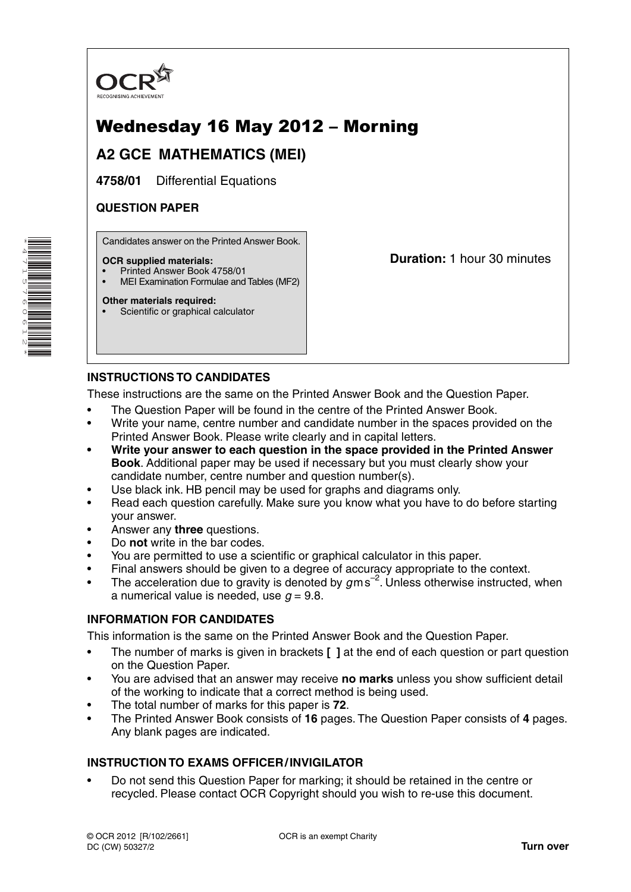

# Wednesday 16 May 2012 – Morning

## **A2 GCE MATHEMATICS (MEI)**

**4758/01** Differential Equations

## **QUESTION PAPER**

Candidates answer on the Printed Answer Book.

#### **OCR supplied materials:**

- Printed Answer Book 4758/01
- MEI Examination Formulae and Tables (MF2)

#### **Other materials required:**

\*4715760612\*

Scientific or graphical calculator

**Duration:** 1 hour 30 minutes

## **INSTRUCTIONS TO CANDIDATES**

These instructions are the same on the Printed Answer Book and the Question Paper.

- The Question Paper will be found in the centre of the Printed Answer Book.
- Write your name, centre number and candidate number in the spaces provided on the Printed Answer Book. Please write clearly and in capital letters.
- **Write your answer to each question in the space provided in the Printed Answer Book**. Additional paper may be used if necessary but you must clearly show your candidate number, centre number and question number(s).
- Use black ink. HB pencil may be used for graphs and diagrams only.
- Read each question carefully. Make sure you know what you have to do before starting your answer.
- Answer any **three** questions.
- Do **not** write in the bar codes.
- You are permitted to use a scientific or graphical calculator in this paper.
- Final answers should be given to a degree of accuracy appropriate to the context.
- The acceleration due to gravity is denoted by  $g$ m s<sup>-2</sup>. Unless otherwise instructed, when a numerical value is needed, use  $q = 9.8$ .

## **INFORMATION FOR CANDIDATES**

This information is the same on the Printed Answer Book and the Question Paper.

- The number of marks is given in brackets **[ ]** at the end of each question or part question on the Question Paper.
- You are advised that an answer may receive **no marks** unless you show sufficient detail of the working to indicate that a correct method is being used.
- The total number of marks for this paper is **72**.
- The Printed Answer Book consists of **16** pages. The Question Paper consists of **4** pages. Any blank pages are indicated.

## **INSTRUCTION TO EXAMS OFFICER / INVIGILATOR**

• Do not send this Question Paper for marking; it should be retained in the centre or recycled. Please contact OCR Copyright should you wish to re-use this document.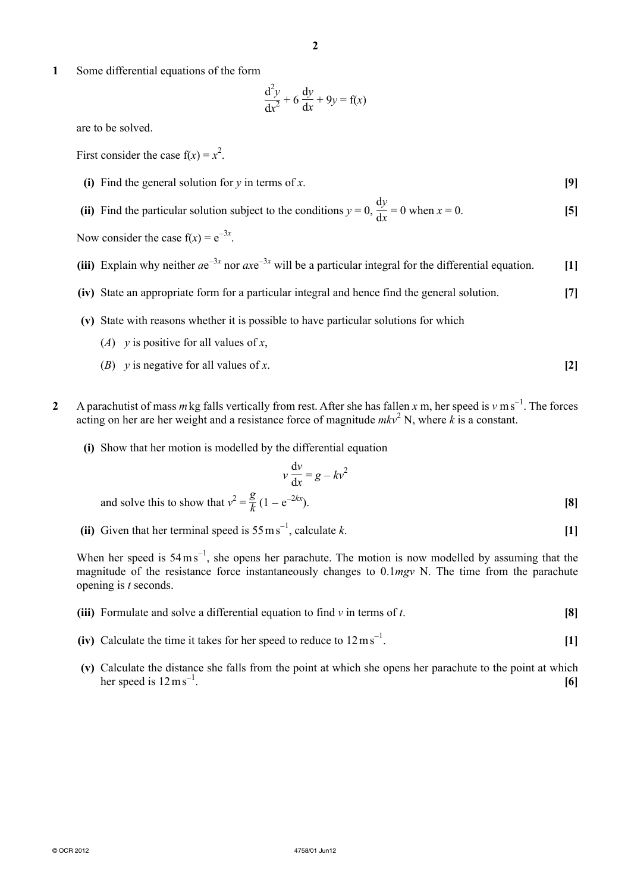**1** Some differential equations of the form

$$
\frac{d^2y}{dx^2} + 6\frac{dy}{dx} + 9y = f(x)
$$

are to be solved.

First consider the case  $f(x) = x^2$ .

- **(i)** Find the general solution for *y* in terms of *x*. **[9]**
- **(ii)** Find the particular solution subject to the conditions  $y = 0$ , d*y*  $\frac{dy}{dx} = 0$  when  $x = 0$ . [5]

Now consider the case  $f(x) = e^{-3x}$ .

- **(iii)** Explain why neither  $ae^{-3x}$  nor  $axe^{-3x}$  will be a particular integral for the differential equation. **[1]** 
	- **(iv)** State an appropriate form for a particular integral and hence find the general solution. **[7]**
	- **(v)** State with reasons whether it is possible to have particular solutions for which
		- (*A*) *y* is positive for all values of *x*,
		- (*B*) *y* is negative for all values of *x*. **[2]**
- 2 A parachutist of mass *m* kg falls vertically from rest. After she has fallen *x* m, her speed is *v* m s<sup>−1</sup>. The forces acting on her are her weight and a resistance force of magnitude  $mkv^2$  N, where k is a constant.
	- **(i)** Show that her motion is modelled by the differential equation

$$
v \frac{dv}{dx} = g - kv^2
$$
  
and solve this to show that  $v^2 = \frac{g}{k} (1 - e^{-2kx}).$  [8]

(ii) Given that her terminal speed is  $55 \text{ ms}^{-1}$ , calculate *k*. [1]

When her speed is  $54 \text{ m s}^{-1}$ , she opens her parachute. The motion is now modelled by assuming that the magnitude of the resistance force instantaneously changes to 0.1*mgv* N. The time from the parachute opening is *t* seconds.

- **(iii)** Formulate and solve a differential equation to find *v* in terms of *t*. **[8]**
- (iv) Calculate the time it takes for her speed to reduce to  $12 \text{ ms}^{-1}$ . . **[1]**
- **(v)** Calculate the distance she falls from the point at which she opens her parachute to the point at which her speed is  $12 \text{ m s}^{-1}$ . . **[6]**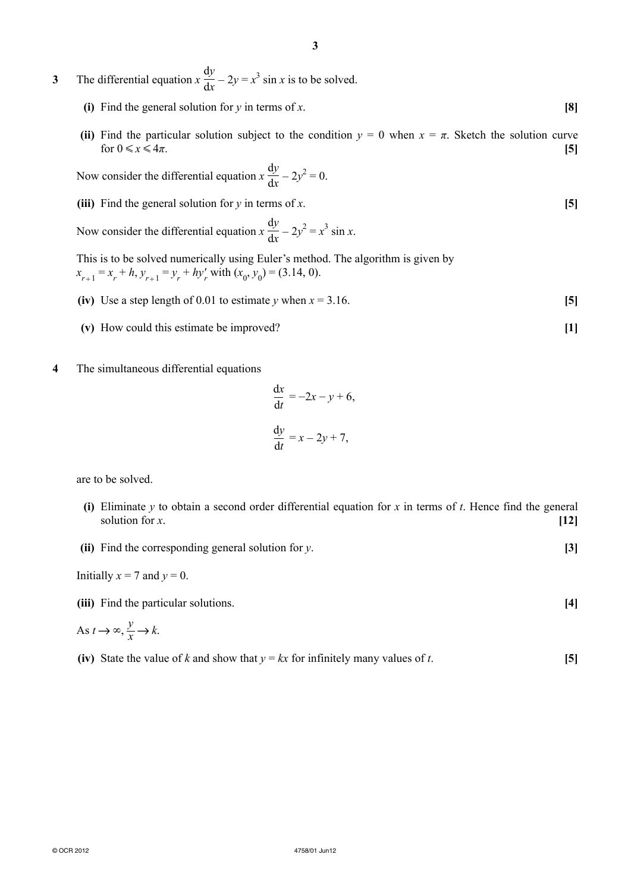**3** The differential equation *x* d*y*  $\frac{dy}{dx}$  – 2*y* = *x*<sup>3</sup> sin *x* is to be solved.

- **(i)** Find the general solution for *y* in terms of *x*. **[8]**
- **(ii)** Find the particular solution subject to the condition  $y = 0$  when  $x = \pi$ . Sketch the solution curve for  $0 \leq x \leq 4\pi$ . **[5]**

 Now consider the differential equation *x* d*y*  $\frac{dy}{dx} - 2y^2 = 0.$ 

 **(iii)** Find the general solution for *y* in terms of *x*. **[5]**

 Now consider the differential equation *x* d*y*  $\frac{dy}{dx} - 2y^2 = x^3 \sin x.$ 

This is to be solved numerically using Euler's method. The algorithm is given by  $x_{r+1} = x_r + h$ ,  $y_{r+1} = y_r + hy'_r$  with  $(x_0, y_0) = (3.14, 0)$ .

- **(iv)** Use a step length of 0.01 to estimate *y* when  $x = 3.16$ . [5]
- **(v)** How could this estimate be improved? **[1]**
- **4** The simultaneous differential equations

$$
\frac{dx}{dt} = -2x - y + 6,
$$
  

$$
\frac{dy}{dt} = x - 2y + 7,
$$

are to be solved.

- **(i)** Eliminate *y* to obtain a second order differential equation for *x* in terms of *t*. Hence find the general solution for *x*. **[12]**
- **(ii)** Find the corresponding general solution for *y*. **[3]**

Initially  $x = 7$  and  $y = 0$ .

 **(iii)** Find the particular solutions. **[4]**

As 
$$
t \to \infty
$$
,  $\frac{y}{x} \to k$ .

**(iv)** State the value of *k* and show that  $y = kx$  for infinitely many values of *t*. [5]